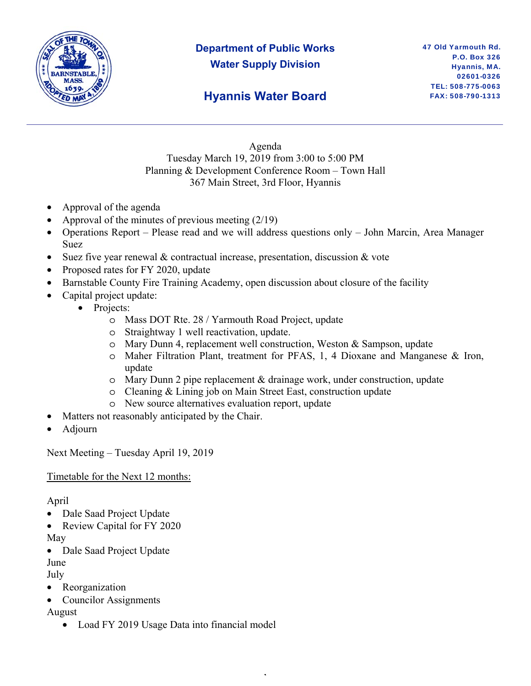

## **Department of Public Works Water Supply Division**

## **Hyannis Water Board**

Agenda Tuesday March 19, 2019 from 3:00 to 5:00 PM Planning & Development Conference Room – Town Hall 367 Main Street, 3rd Floor, Hyannis

- Approval of the agenda
- Approval of the minutes of previous meeting  $(2/19)$
- Operations Report Please read and we will address questions only John Marcin, Area Manager Suez
- Suez five year renewal  $\&$  contractual increase, presentation, discussion  $\&$  vote
- Proposed rates for FY 2020, update
- Barnstable County Fire Training Academy, open discussion about closure of the facility
- Capital project update:
	- Projects:
		- o Mass DOT Rte. 28 / Yarmouth Road Project, update
		- o Straightway 1 well reactivation, update.
		- o Mary Dunn 4, replacement well construction, Weston & Sampson, update
		- o Maher Filtration Plant, treatment for PFAS, 1, 4 Dioxane and Manganese & Iron, update
		- o Mary Dunn 2 pipe replacement & drainage work, under construction, update

,

- o Cleaning & Lining job on Main Street East, construction update
- o New source alternatives evaluation report, update
- Matters not reasonably anticipated by the Chair.
- Adjourn

Next Meeting – Tuesday April 19, 2019

Timetable for the Next 12 months:

## April

- Dale Saad Project Update
- Review Capital for FY 2020

May

• Dale Saad Project Update

June

July

- Reorganization
- Councilor Assignments

August

• Load FY 2019 Usage Data into financial model